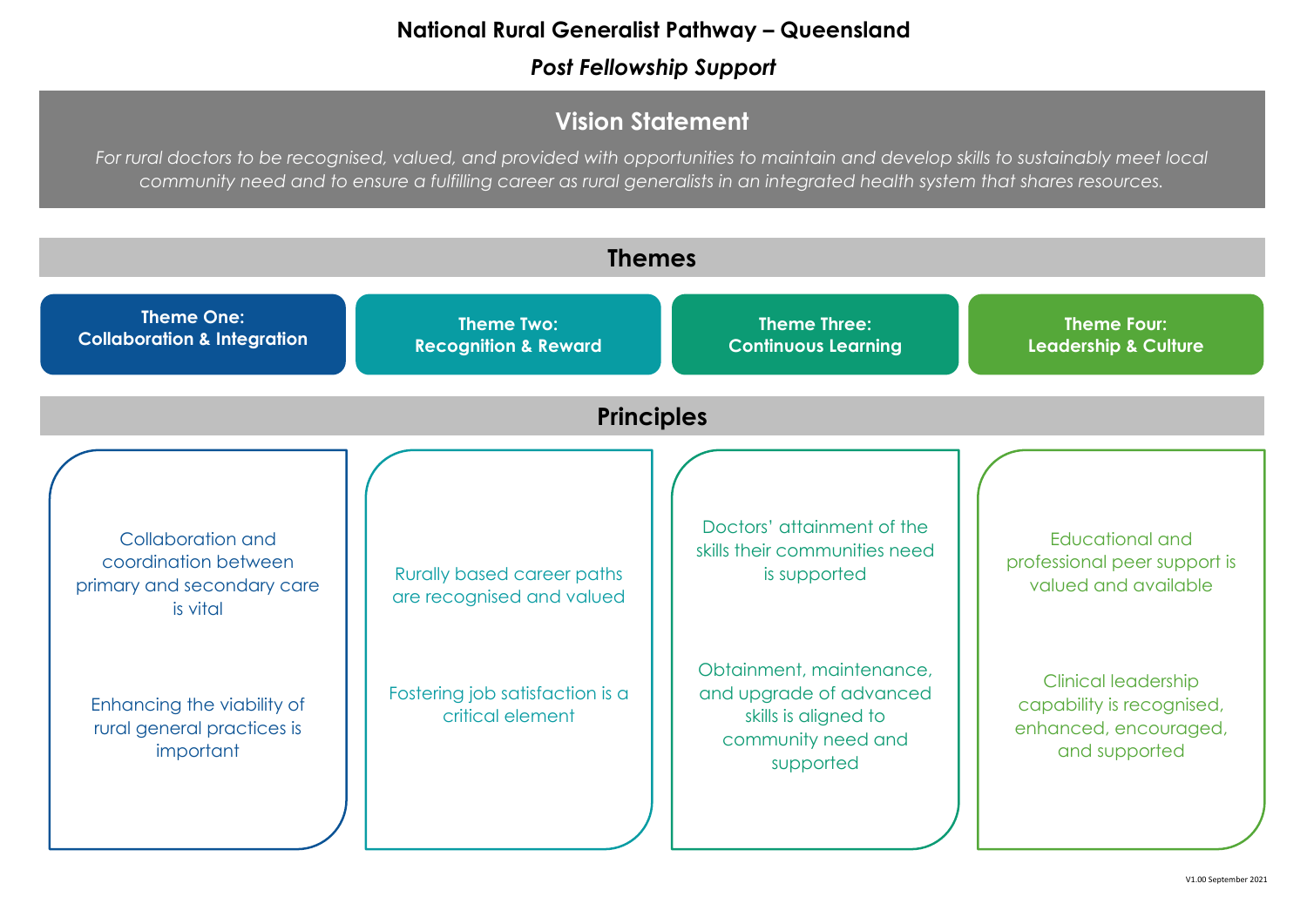## **National Rural Generalist Pathway – Queensland**

*Post Fellowship Support* 

Educational and professional peer support is valued and available



Clinical leadership capability is recognised, enhanced, encouraged, and supported

**Theme Four: Leadership & Culture**

# **Vision Statement**

*For rural doctors to be recognised, valued, and provided with opportunities to maintain and develop skills to sustainably meet local community need and to ensure a fulfilling career as rural generalists in an integrated health system that shares resources.*